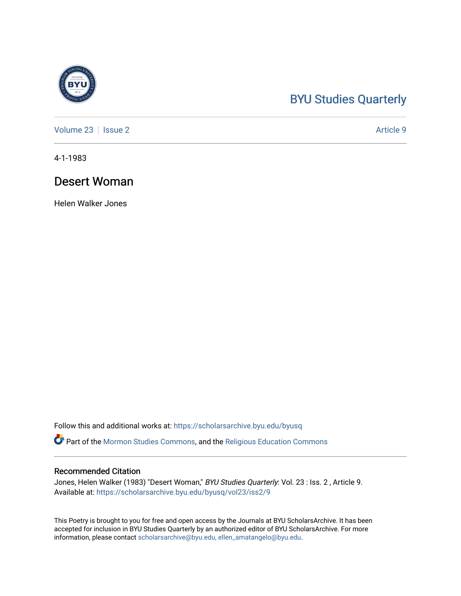## [BYU Studies Quarterly](https://scholarsarchive.byu.edu/byusq)

[Volume 23](https://scholarsarchive.byu.edu/byusq/vol23) | [Issue 2](https://scholarsarchive.byu.edu/byusq/vol23/iss2) Article 9

4-1-1983

## Desert Woman

Helen Walker Jones

Follow this and additional works at: [https://scholarsarchive.byu.edu/byusq](https://scholarsarchive.byu.edu/byusq?utm_source=scholarsarchive.byu.edu%2Fbyusq%2Fvol23%2Fiss2%2F9&utm_medium=PDF&utm_campaign=PDFCoverPages) 

**Part of the [Mormon Studies Commons](http://network.bepress.com/hgg/discipline/1360?utm_source=scholarsarchive.byu.edu%2Fbyusq%2Fvol23%2Fiss2%2F9&utm_medium=PDF&utm_campaign=PDFCoverPages), and the Religious Education Commons** 

## Recommended Citation

Jones, Helen Walker (1983) "Desert Woman," BYU Studies Quarterly: Vol. 23 : Iss. 2, Article 9. Available at: [https://scholarsarchive.byu.edu/byusq/vol23/iss2/9](https://scholarsarchive.byu.edu/byusq/vol23/iss2/9?utm_source=scholarsarchive.byu.edu%2Fbyusq%2Fvol23%2Fiss2%2F9&utm_medium=PDF&utm_campaign=PDFCoverPages)

This Poetry is brought to you for free and open access by the Journals at BYU ScholarsArchive. It has been accepted for inclusion in BYU Studies Quarterly by an authorized editor of BYU ScholarsArchive. For more information, please contact [scholarsarchive@byu.edu, ellen\\_amatangelo@byu.edu.](mailto:scholarsarchive@byu.edu,%20ellen_amatangelo@byu.edu)